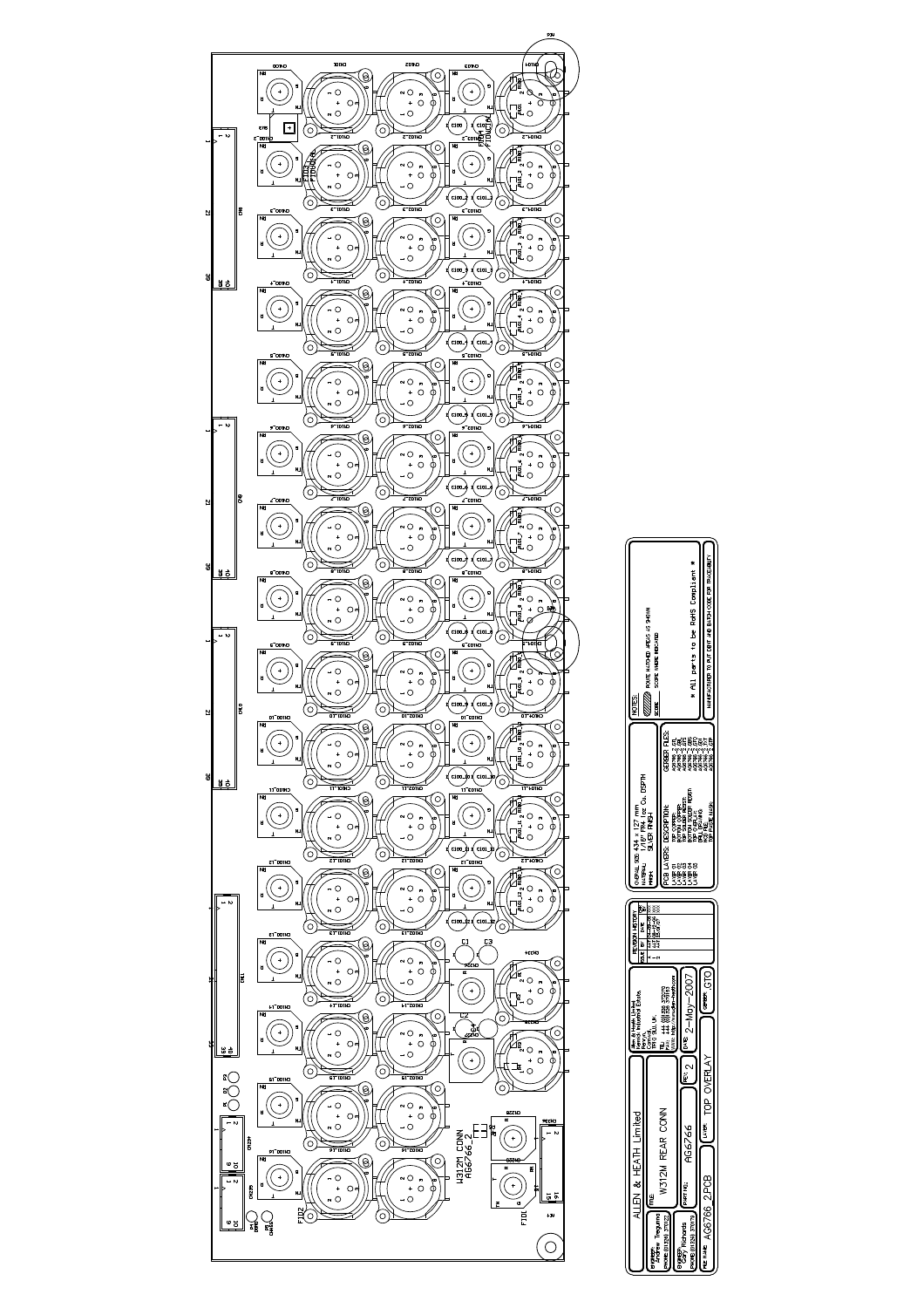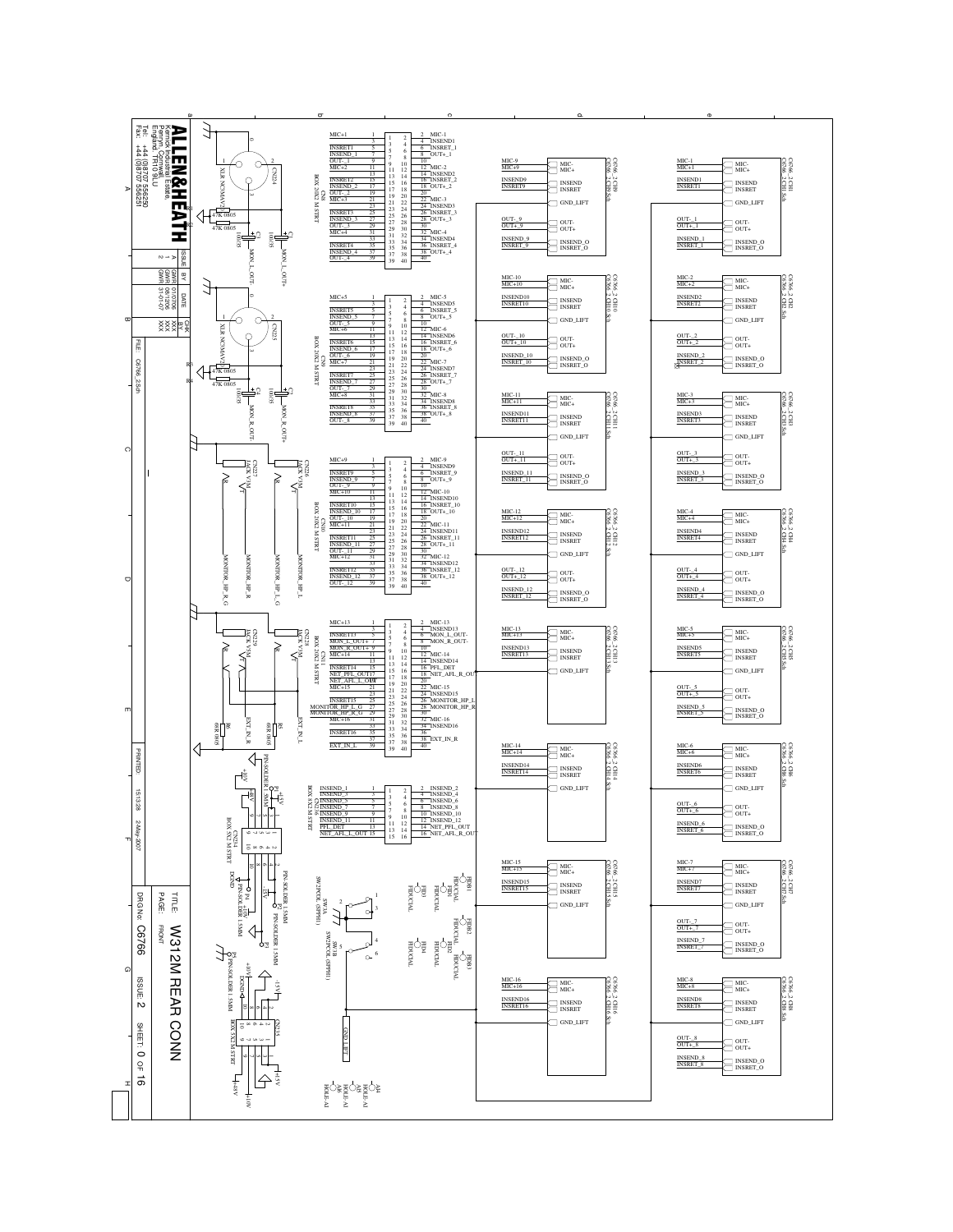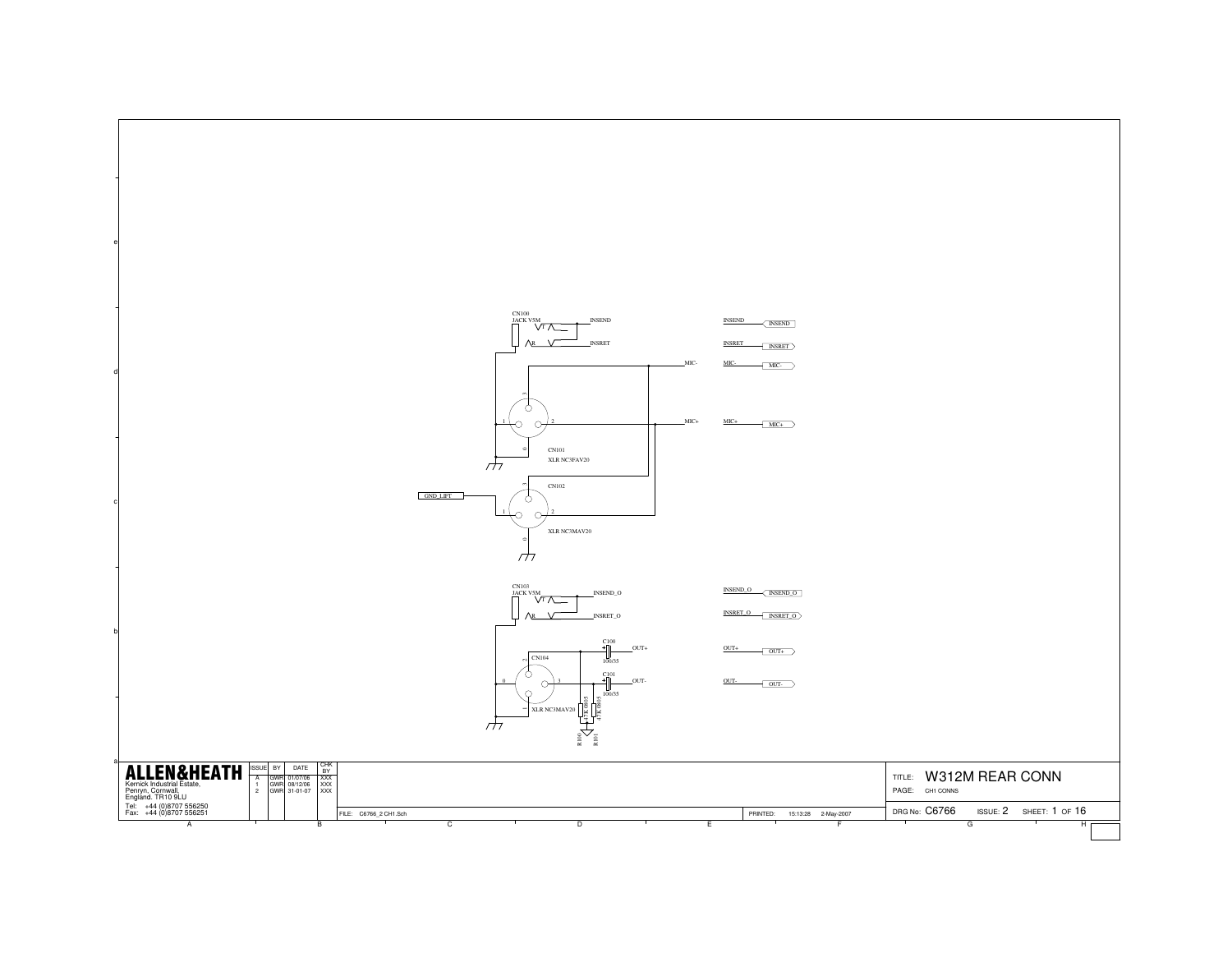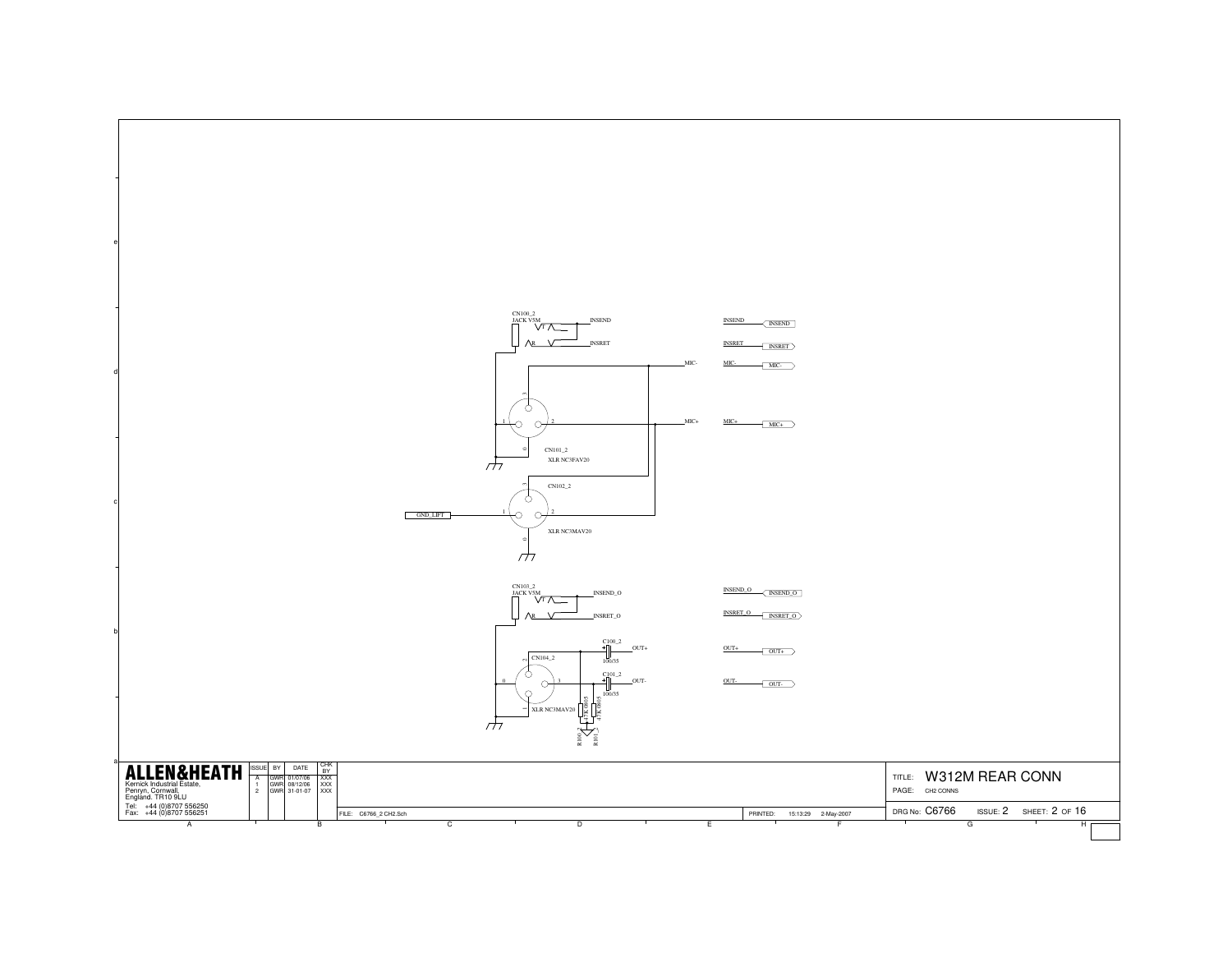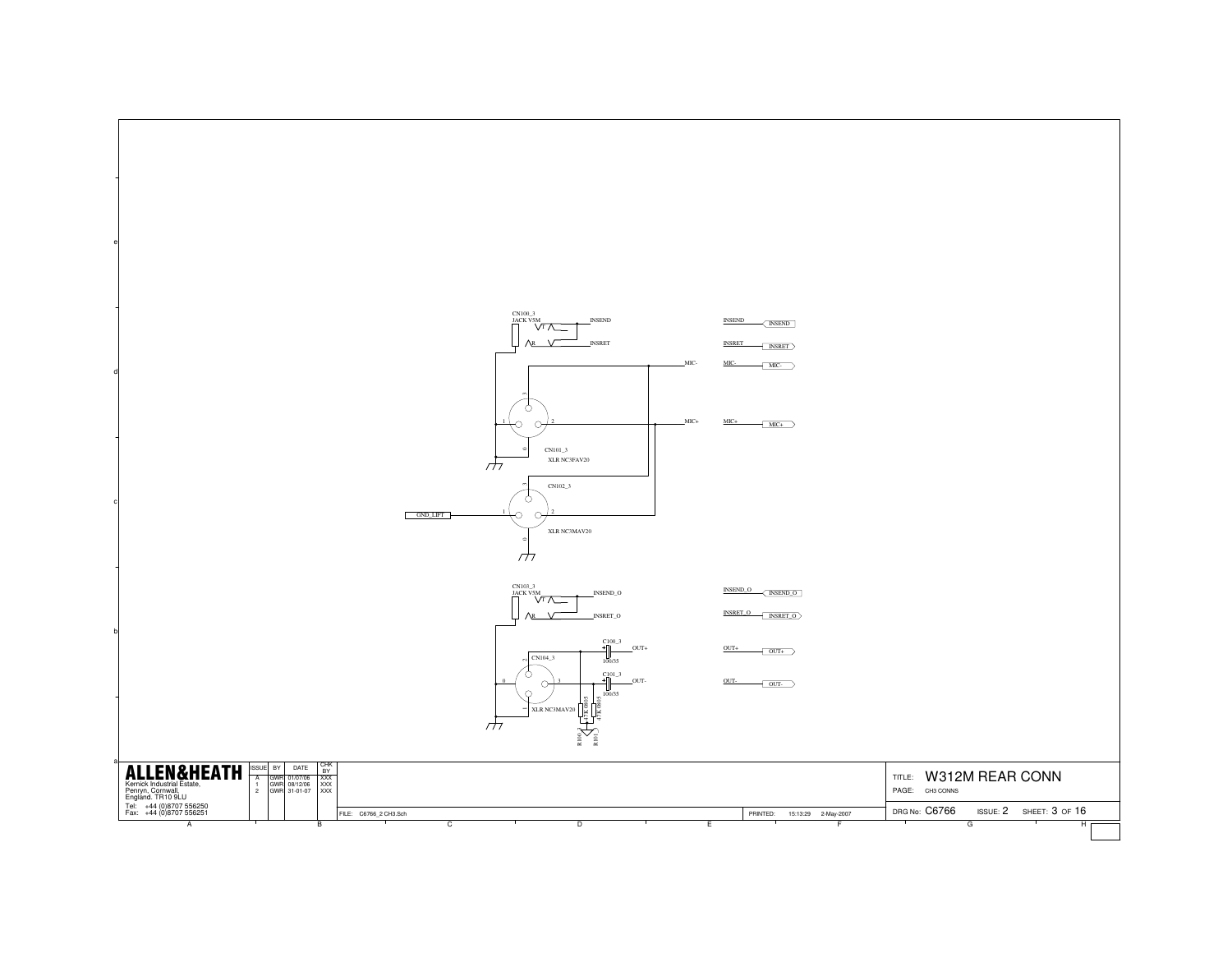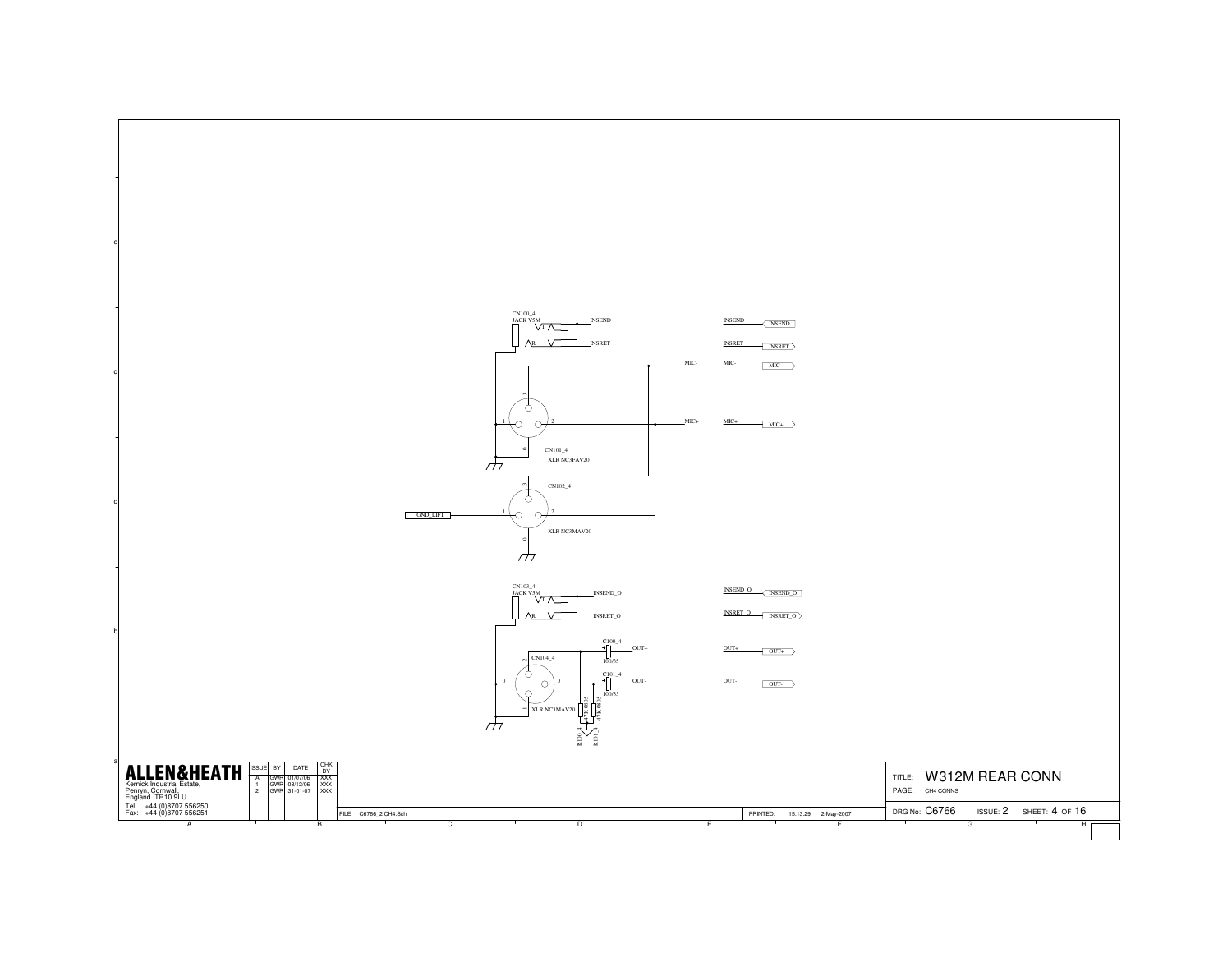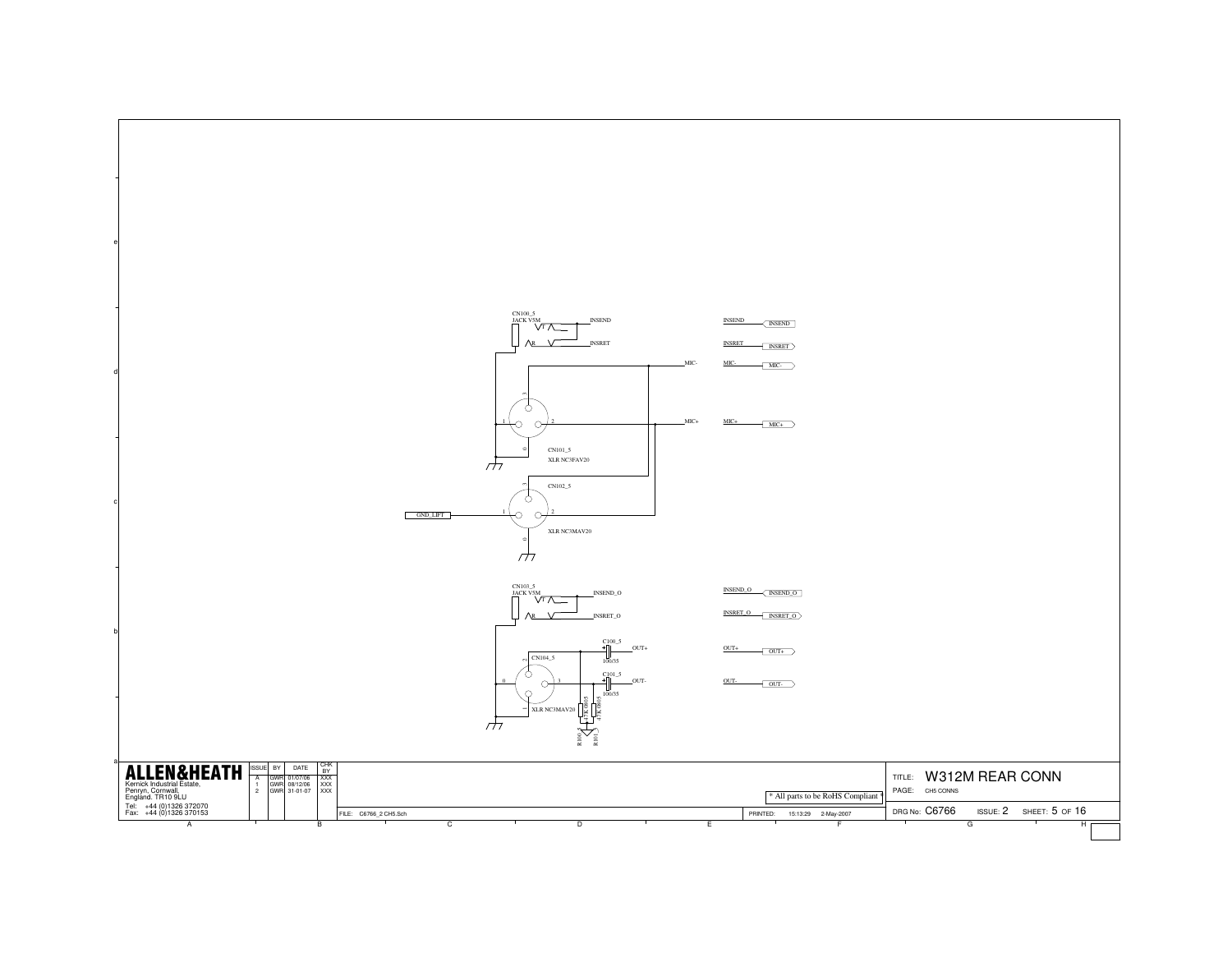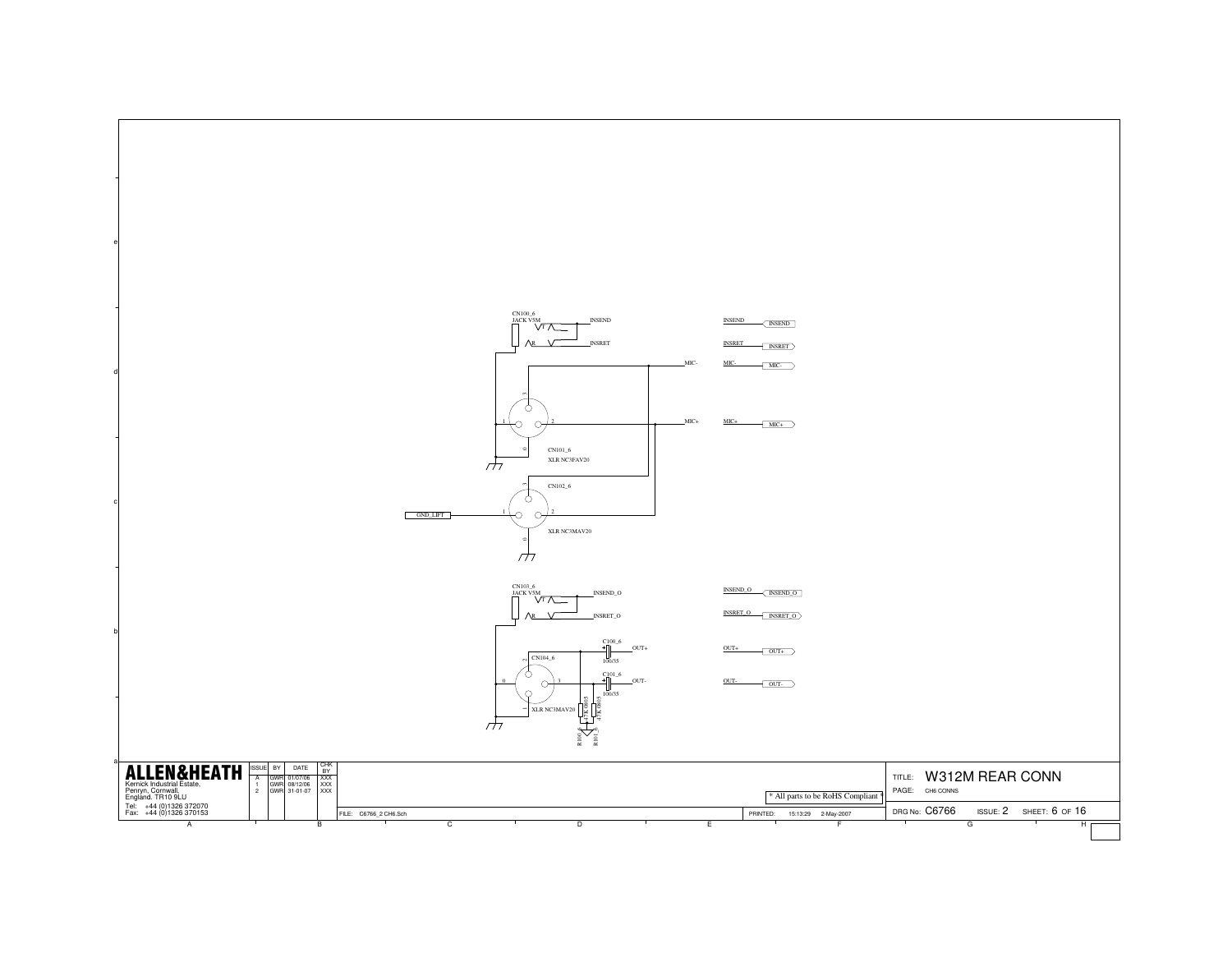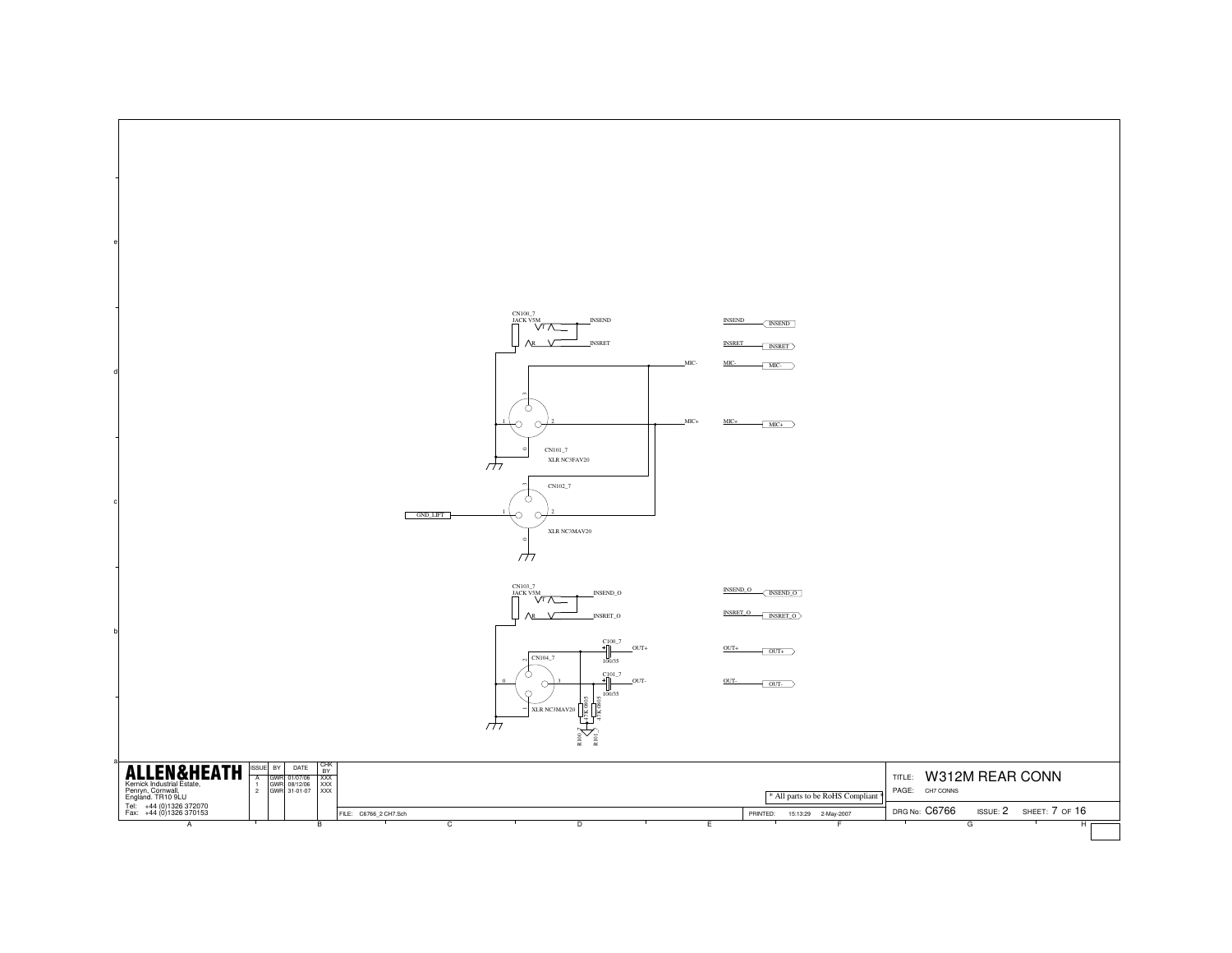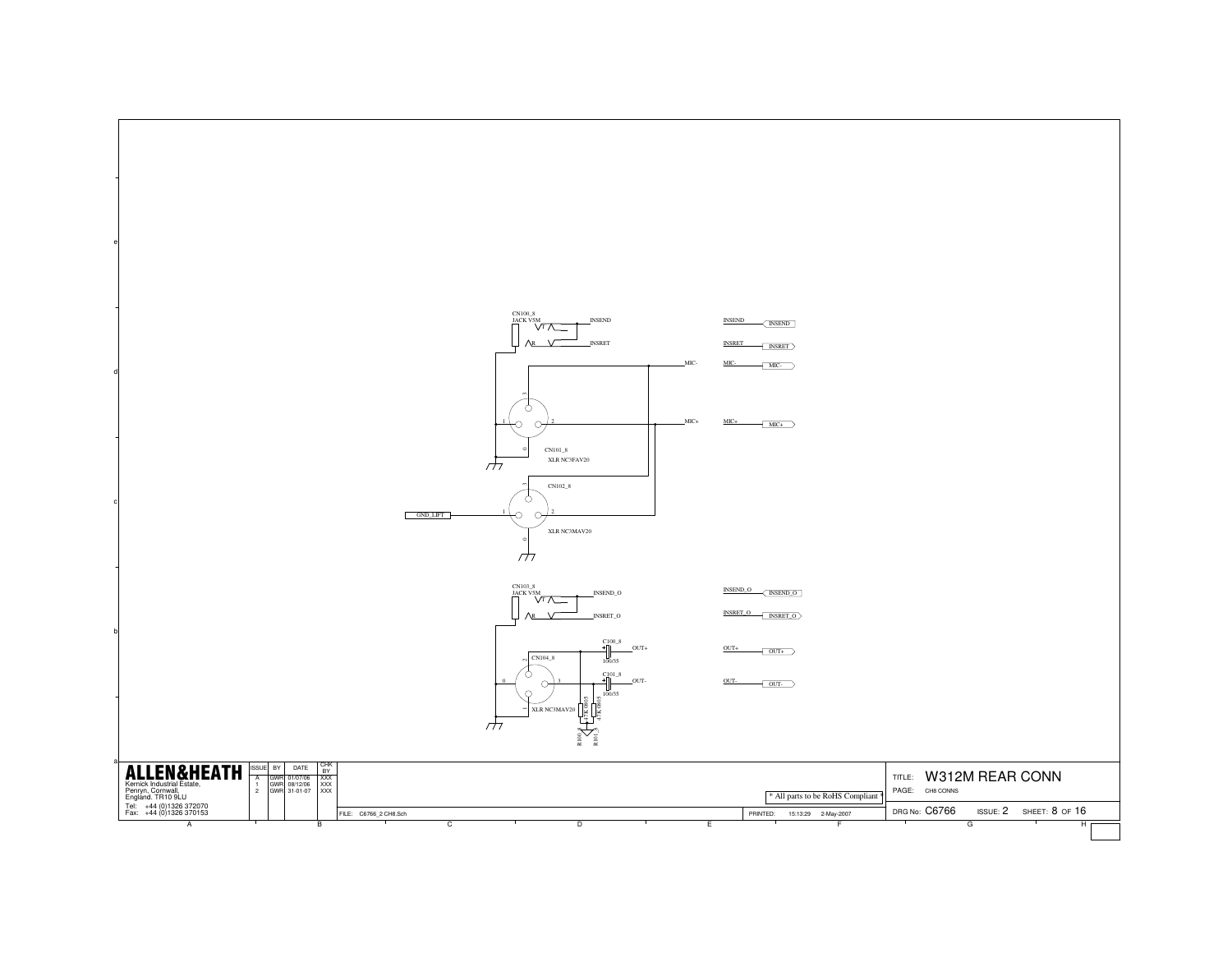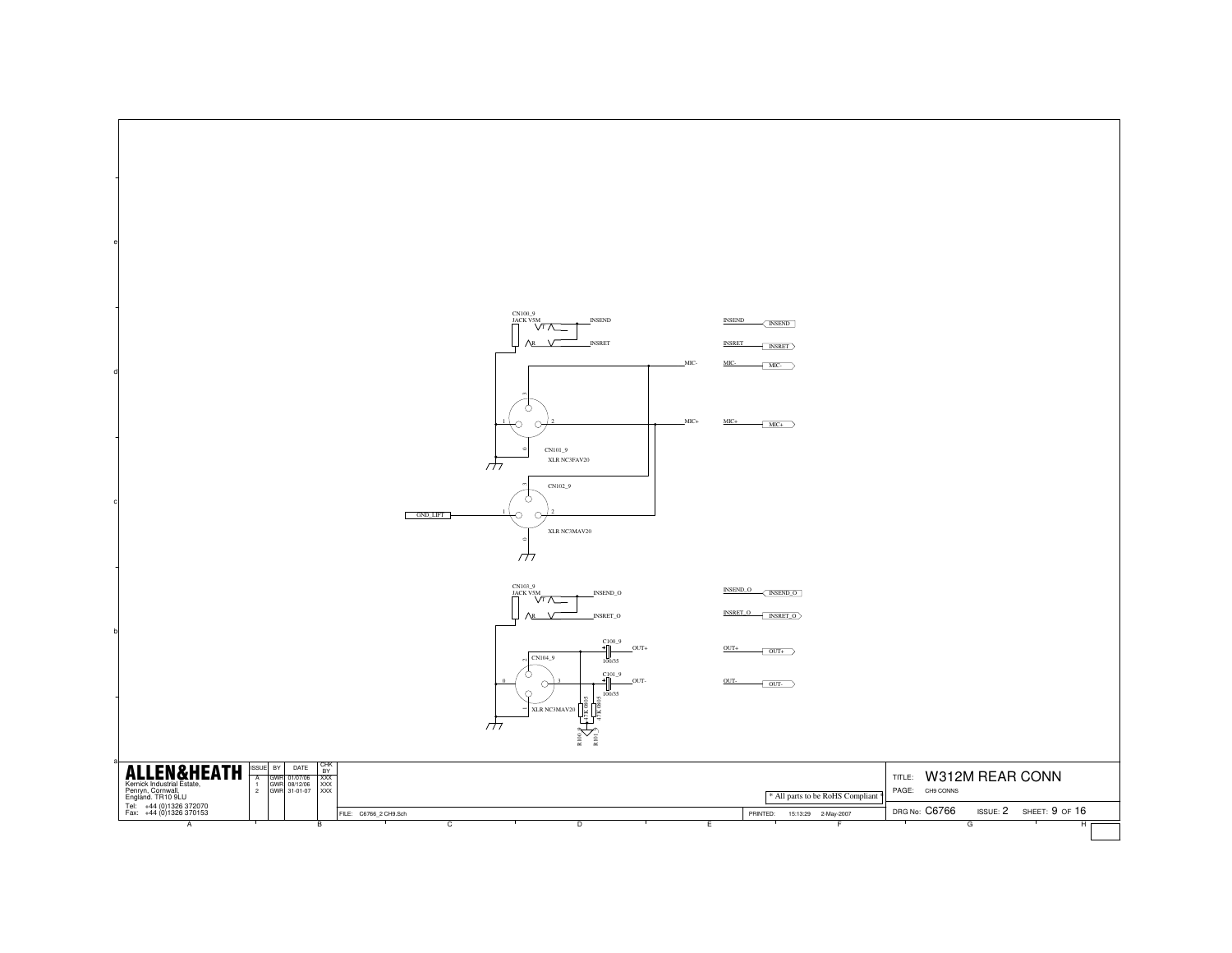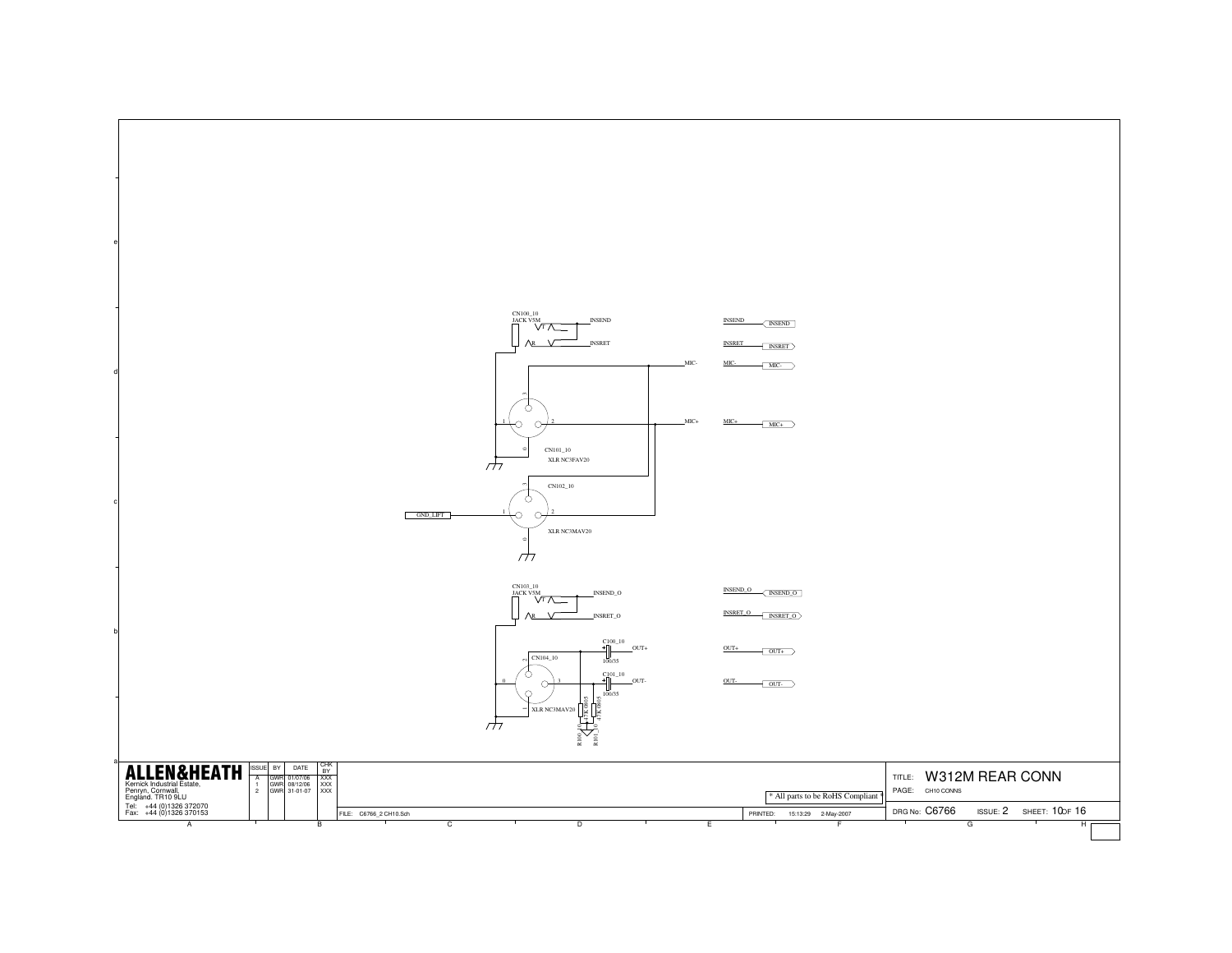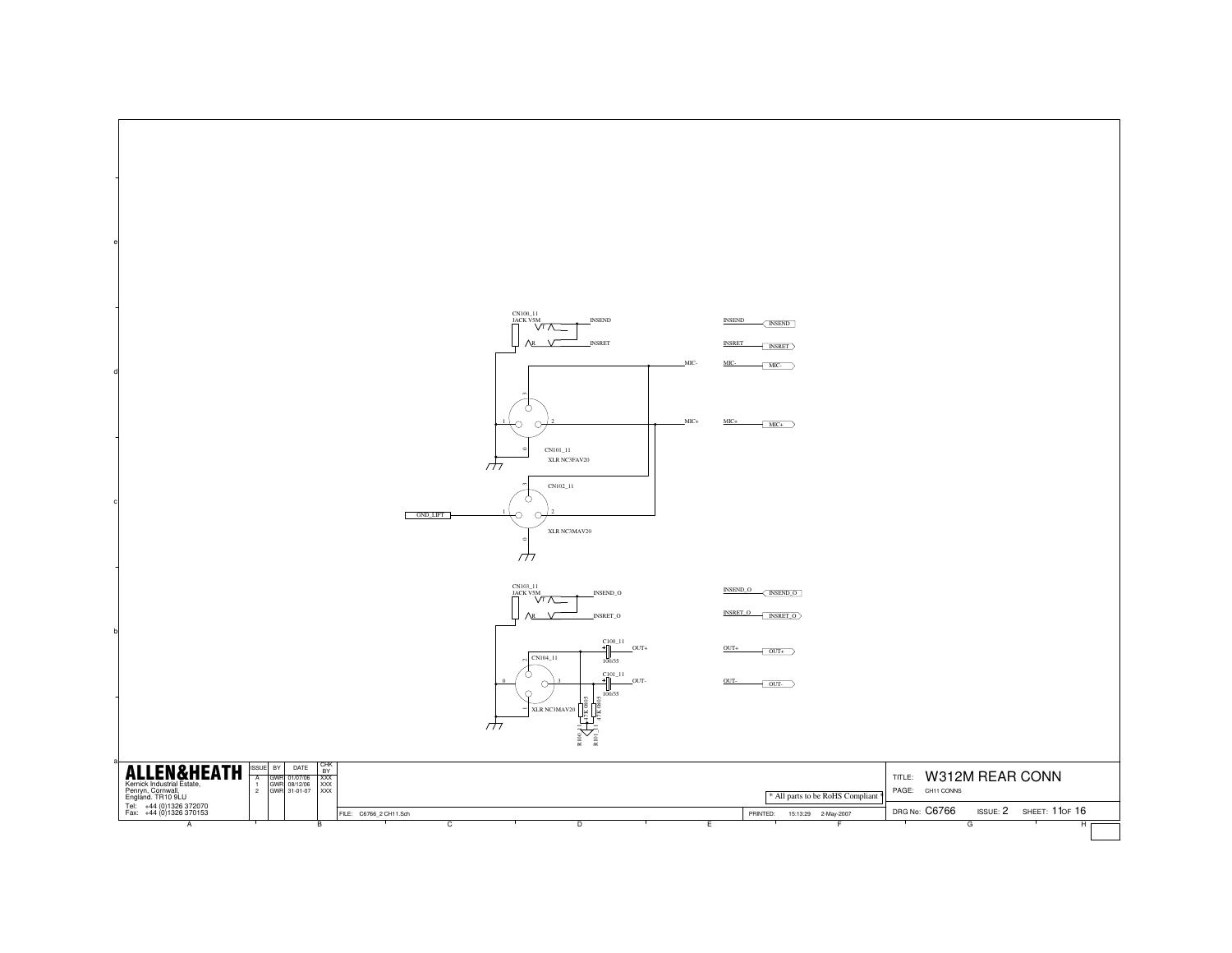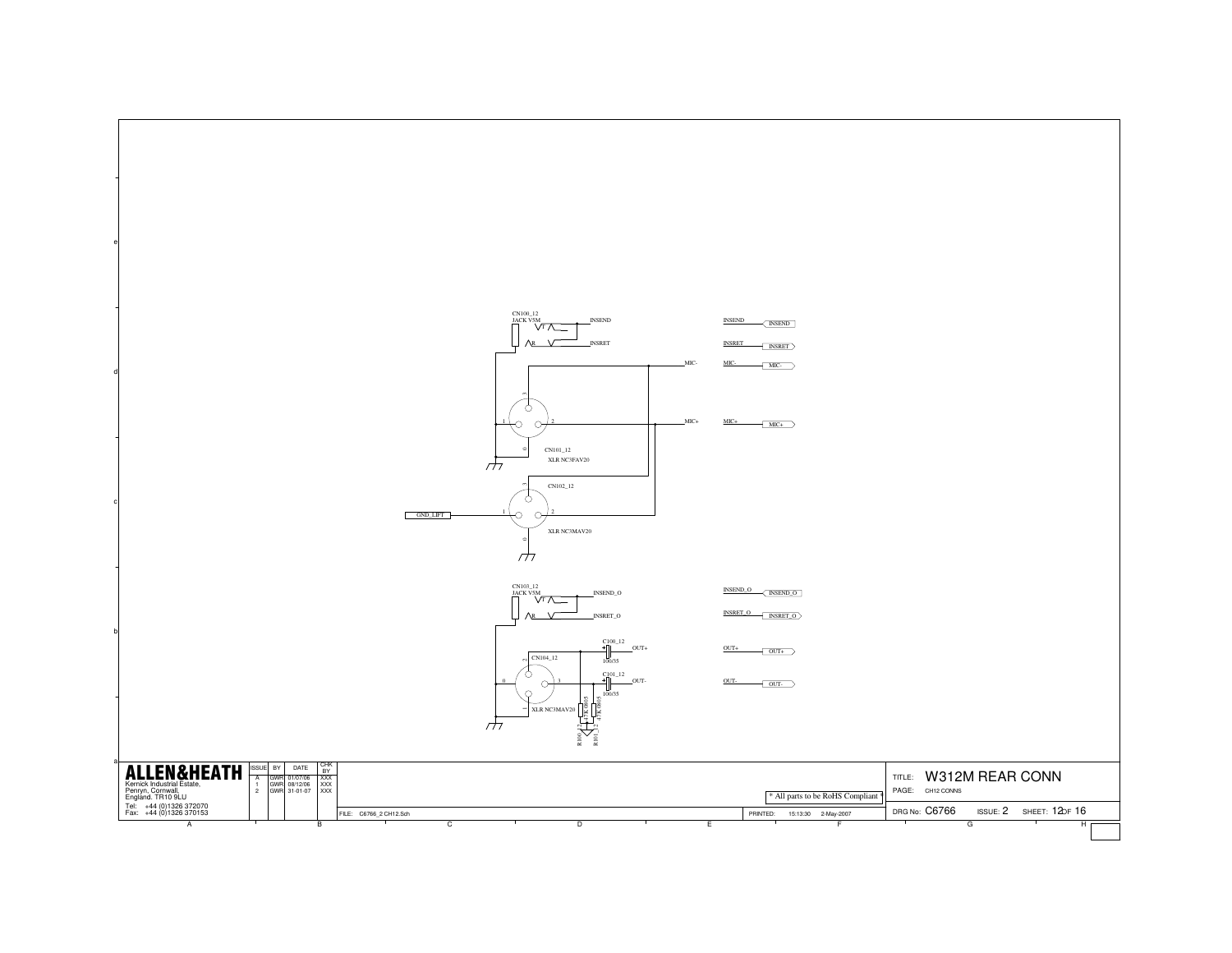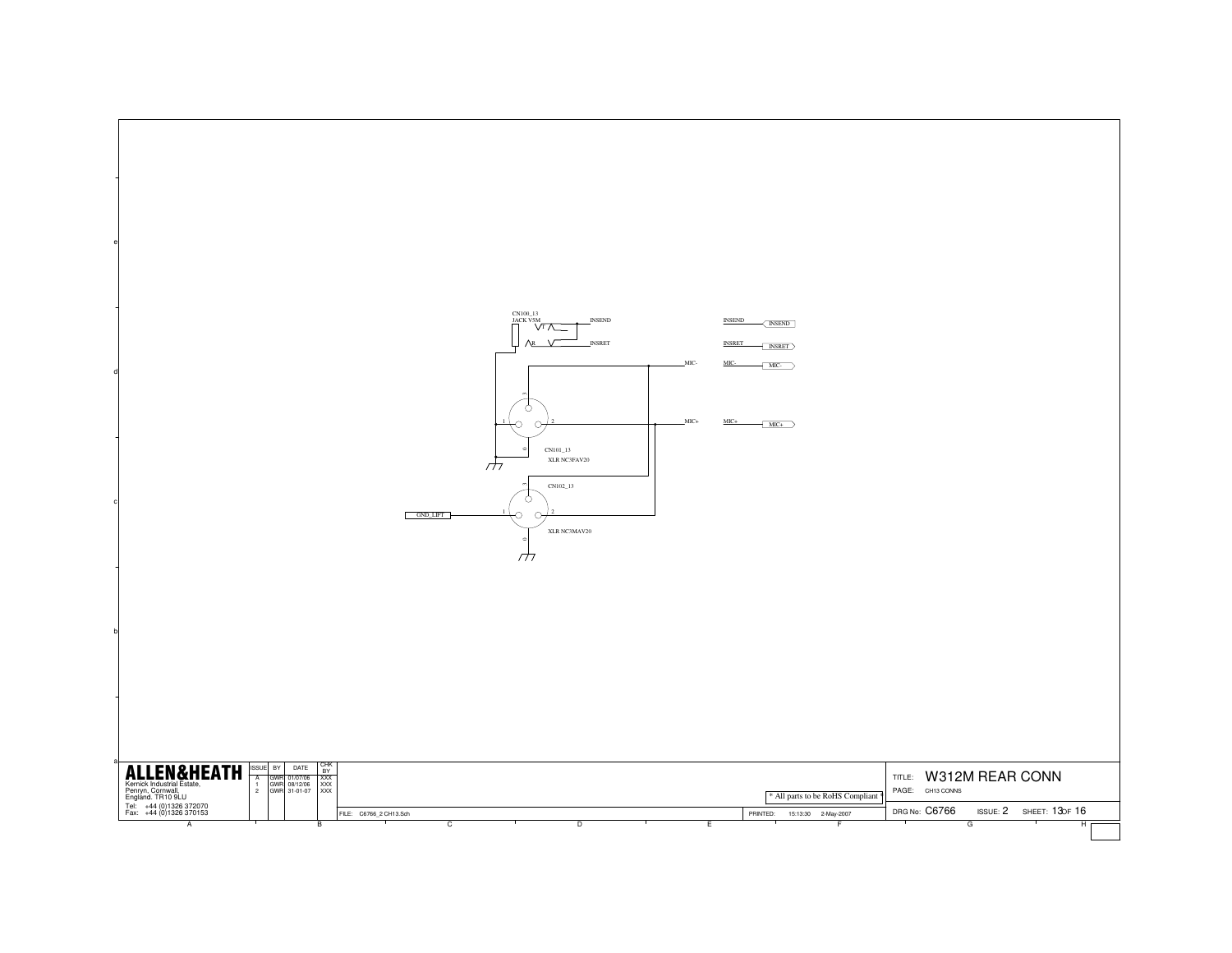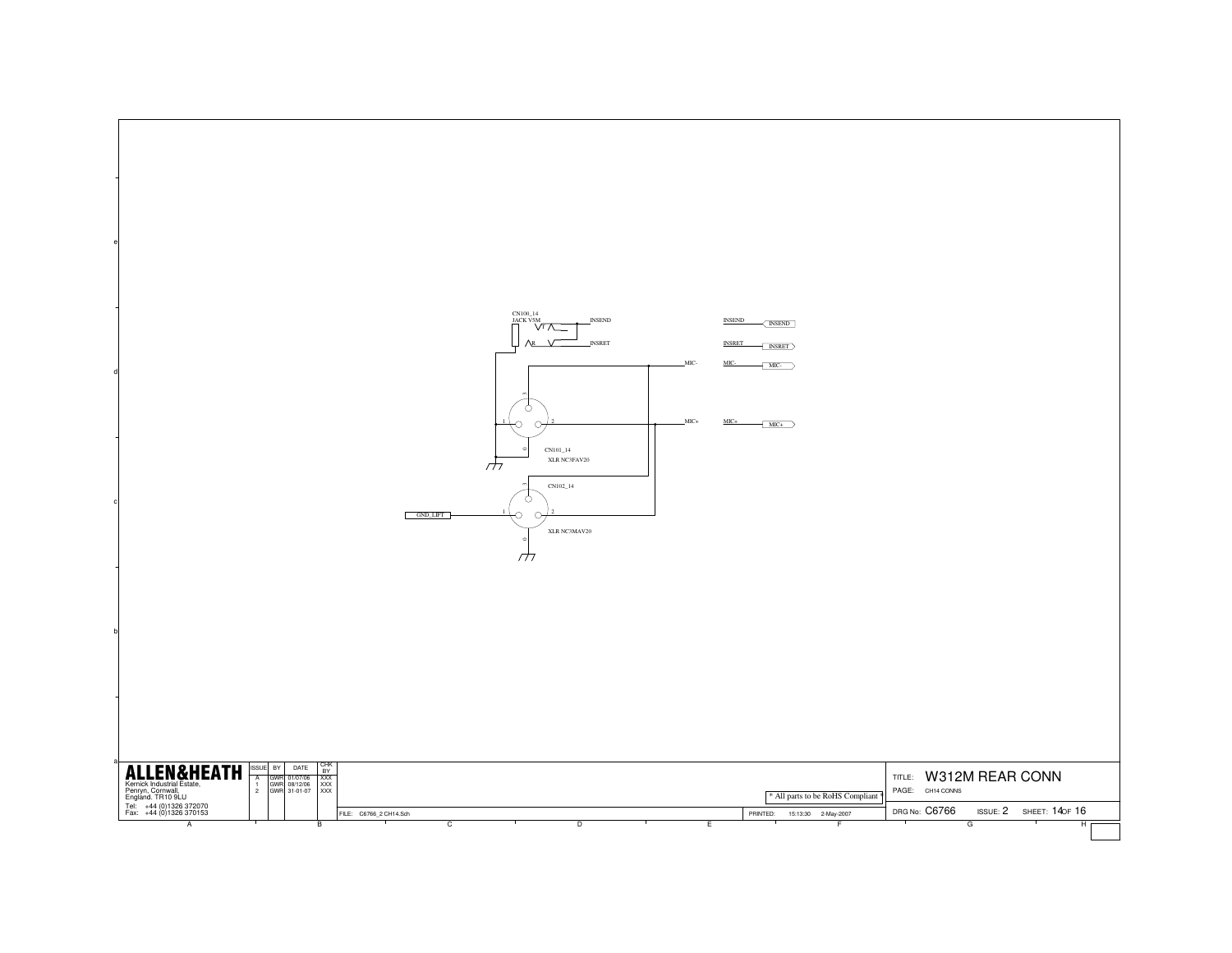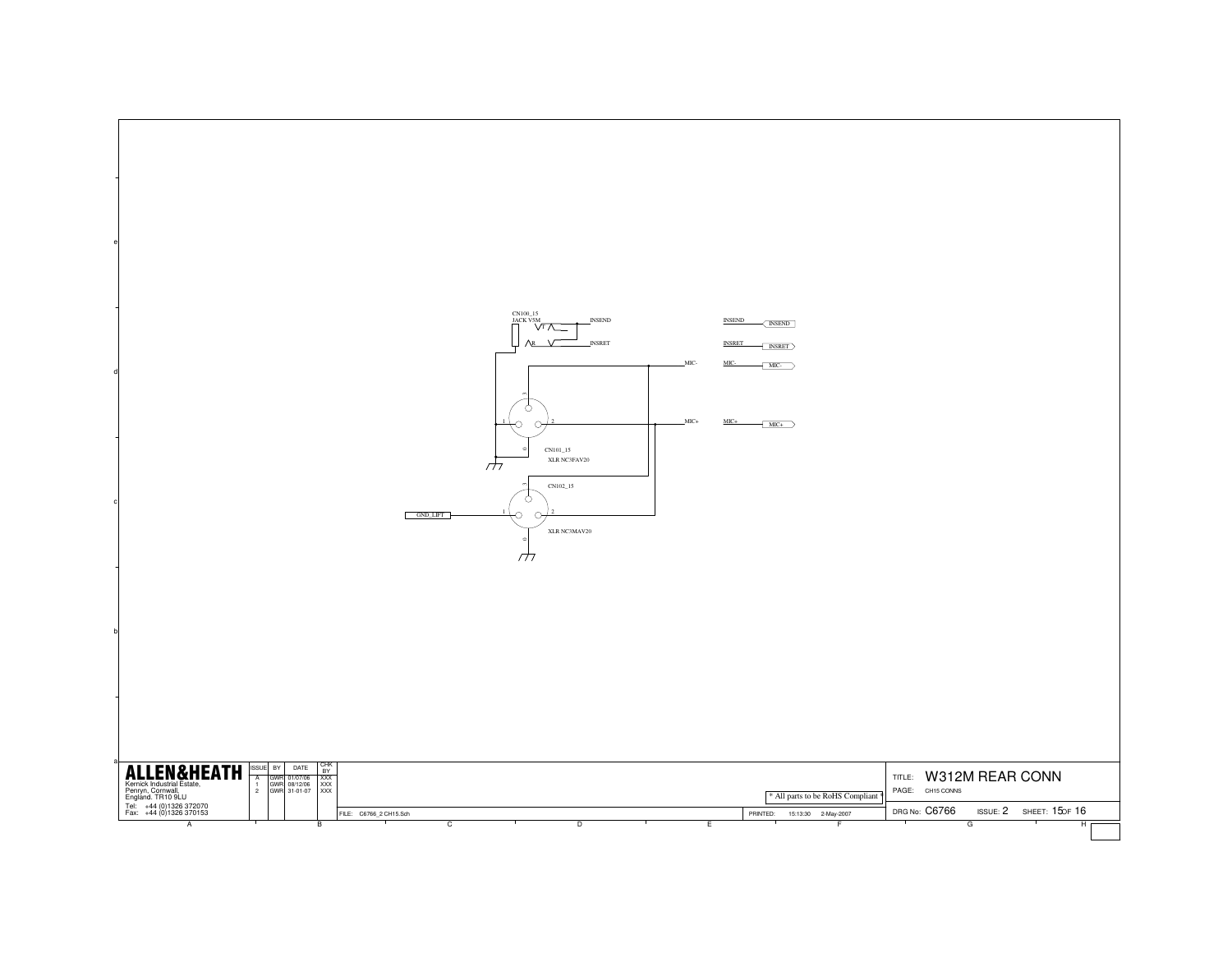